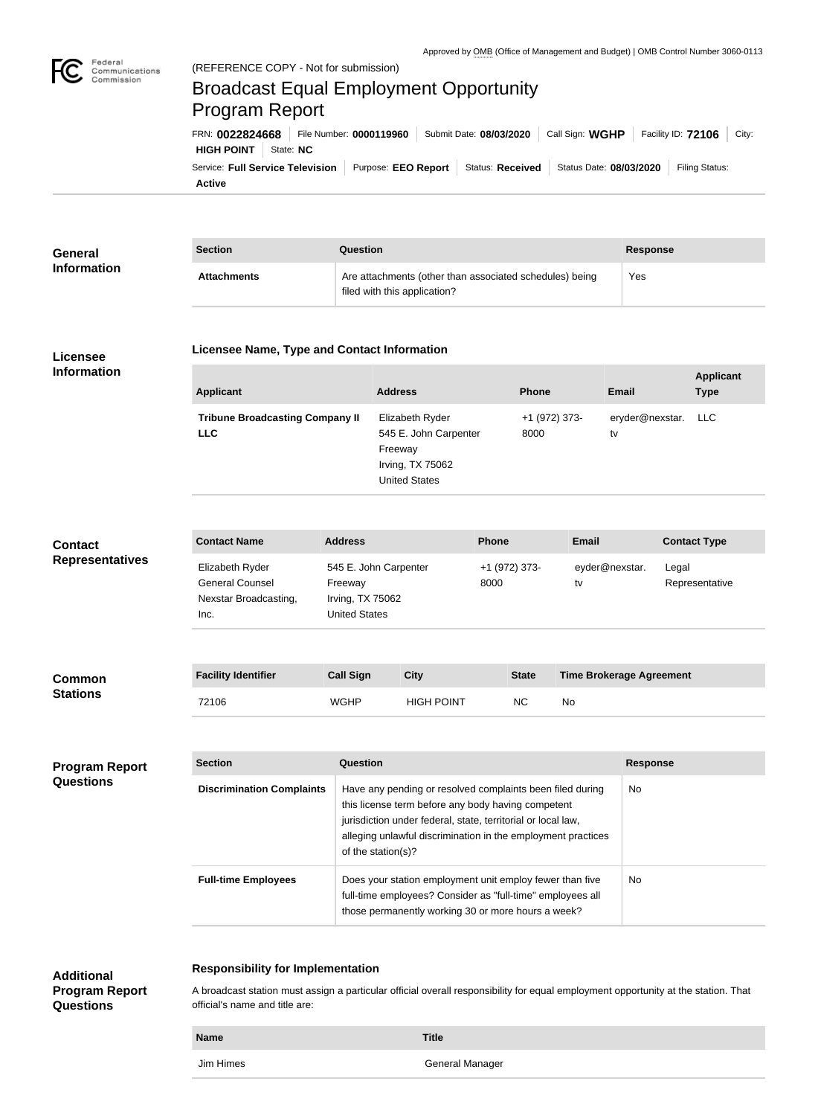

**Program Report** 

**Questions**

## Federal<br>Communications<br>Commission (REFERENCE COPY - Not for submission) Broadcast Equal Employment Opportunity Program ReportFRN: **0022824668** File Number: **0000119960** Submit Date: **08/03/2020** Call Sign: **WGHP** Facility ID: **72106** City: **HIGH POINT** State: **NC** Service: Full Service Television | Purpose: EEO Report | Status: Received | Status Date: 08/03/2020 | Filing Status: **Active**

| <b>General</b>                            | <b>Section</b><br>Question                                                 |                                                                                                                                                                                                                                                                             |                                                                                                 |                   |                       |              |                       | <b>Response</b>         |                                 |                     |
|-------------------------------------------|----------------------------------------------------------------------------|-----------------------------------------------------------------------------------------------------------------------------------------------------------------------------------------------------------------------------------------------------------------------------|-------------------------------------------------------------------------------------------------|-------------------|-----------------------|--------------|-----------------------|-------------------------|---------------------------------|---------------------|
| <b>Information</b>                        | <b>Attachments</b>                                                         |                                                                                                                                                                                                                                                                             | Are attachments (other than associated schedules) being<br>filed with this application?         |                   |                       |              |                       | Yes                     |                                 |                     |
| Licensee                                  | <b>Licensee Name, Type and Contact Information</b>                         |                                                                                                                                                                                                                                                                             |                                                                                                 |                   |                       |              |                       |                         |                                 |                     |
| <b>Information</b>                        | <b>Applicant</b>                                                           |                                                                                                                                                                                                                                                                             | <b>Address</b>                                                                                  |                   | <b>Phone</b>          |              | <b>Email</b>          |                         | <b>Applicant</b><br><b>Type</b> |                     |
|                                           | <b>Tribune Broadcasting Company II</b><br><b>LLC</b>                       |                                                                                                                                                                                                                                                                             | Elizabeth Ryder<br>545 E. John Carpenter<br>Freeway<br>Irving, TX 75062<br><b>United States</b> |                   | +1 (972) 373-<br>8000 |              | eryder@nexstar.<br>tv |                         | <b>LLC</b>                      |                     |
| <b>Contact</b><br><b>Representatives</b>  | <b>Contact Name</b>                                                        | <b>Address</b>                                                                                                                                                                                                                                                              |                                                                                                 |                   | Phone                 |              | <b>Email</b>          |                         |                                 | <b>Contact Type</b> |
|                                           | Elizabeth Ryder<br><b>General Counsel</b><br>Nexstar Broadcasting,<br>Inc. | 545 E. John Carpenter<br>Freeway<br>Irving, TX 75062<br><b>United States</b>                                                                                                                                                                                                |                                                                                                 |                   | +1 (972) 373-<br>8000 |              | tv                    | eyder@nexstar.<br>Legal |                                 | Representative      |
| <b>Common</b><br><b>Stations</b>          | <b>Facility Identifier</b>                                                 | <b>Call Sign</b>                                                                                                                                                                                                                                                            | <b>City</b>                                                                                     |                   |                       | <b>State</b> |                       |                         | <b>Time Brokerage Agreement</b> |                     |
|                                           | 72106                                                                      | <b>WGHP</b>                                                                                                                                                                                                                                                                 |                                                                                                 | <b>HIGH POINT</b> |                       | NC           | No                    |                         |                                 |                     |
|                                           |                                                                            |                                                                                                                                                                                                                                                                             |                                                                                                 |                   |                       |              |                       |                         |                                 |                     |
| <b>Program Report</b><br><b>Questions</b> | <b>Section</b>                                                             | Question                                                                                                                                                                                                                                                                    |                                                                                                 |                   |                       |              |                       |                         | <b>Response</b>                 |                     |
|                                           | <b>Discrimination Complaints</b>                                           | Have any pending or resolved complaints been filed during<br>No<br>this license term before any body having competent<br>jurisdiction under federal, state, territorial or local law,<br>alleging unlawful discrimination in the employment practices<br>of the station(s)? |                                                                                                 |                   |                       |              |                       |                         |                                 |                     |
|                                           | <b>Full-time Employees</b>                                                 | Does your station employment unit employ fewer than five<br>full-time employees? Consider as "full-time" employees all<br>those permanently working 30 or more hours a week?                                                                                                |                                                                                                 |                   |                       |              |                       |                         | No                              |                     |
| <b>Additional</b>                         | <b>Responsibility for Implementation</b>                                   |                                                                                                                                                                                                                                                                             |                                                                                                 |                   |                       |              |                       |                         |                                 |                     |

A broadcast station must assign a particular official overall responsibility for equal employment opportunity at the station. That official's name and title are:

| <b>Name</b> | <b>Title</b>    |
|-------------|-----------------|
| Jim Himes   | General Manager |